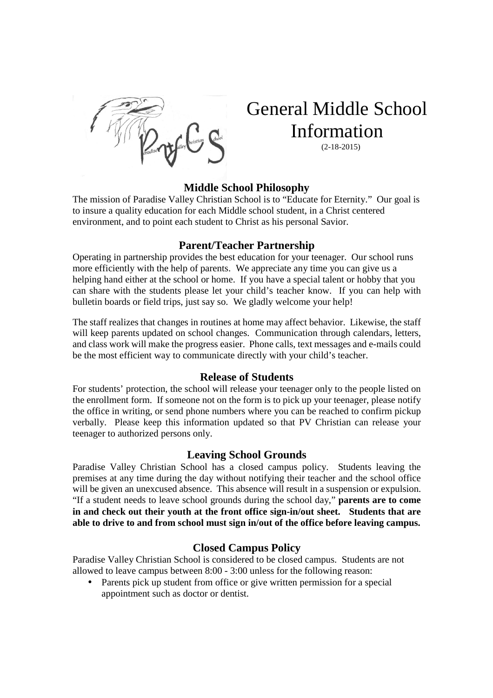

# General Middle School Information

(2-18-2015)

#### **Middle School Philosophy**

The mission of Paradise Valley Christian School is to "Educate for Eternity." Our goal is to insure a quality education for each Middle school student, in a Christ centered environment, and to point each student to Christ as his personal Savior.

#### **Parent/Teacher Partnership**

Operating in partnership provides the best education for your teenager. Our school runs more efficiently with the help of parents. We appreciate any time you can give us a helping hand either at the school or home. If you have a special talent or hobby that you can share with the students please let your child's teacher know. If you can help with bulletin boards or field trips, just say so. We gladly welcome your help!

The staff realizes that changes in routines at home may affect behavior. Likewise, the staff will keep parents updated on school changes. Communication through calendars, letters, and class work will make the progress easier. Phone calls, text messages and e-mails could be the most efficient way to communicate directly with your child's teacher.

#### **Release of Students**

For students' protection, the school will release your teenager only to the people listed on the enrollment form. If someone not on the form is to pick up your teenager, please notify the office in writing, or send phone numbers where you can be reached to confirm pickup verbally. Please keep this information updated so that PV Christian can release your teenager to authorized persons only.

## **Leaving School Grounds**

Paradise Valley Christian School has a closed campus policy. Students leaving the premises at any time during the day without notifying their teacher and the school office will be given an unexcused absence. This absence will result in a suspension or expulsion. "If a student needs to leave school grounds during the school day," **parents are to come in and check out their youth at the front office sign-in/out sheet. Students that are able to drive to and from school must sign in/out of the office before leaving campus.** 

## **Closed Campus Policy**

Paradise Valley Christian School is considered to be closed campus. Students are not allowed to leave campus between 8:00 - 3:00 unless for the following reason:

• Parents pick up student from office or give written permission for a special appointment such as doctor or dentist.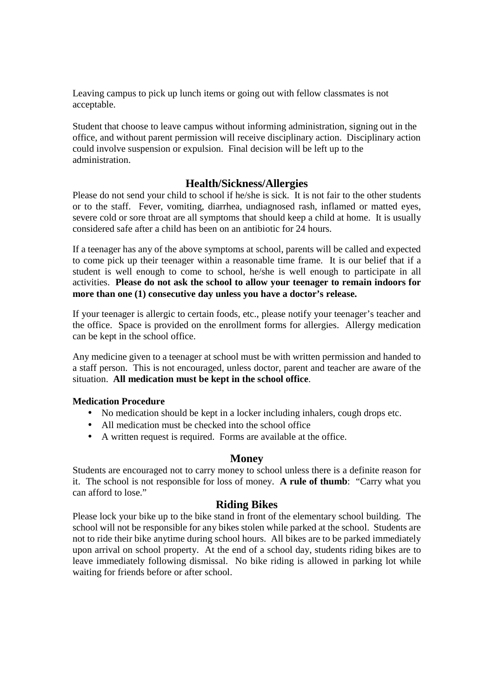Leaving campus to pick up lunch items or going out with fellow classmates is not acceptable.

Student that choose to leave campus without informing administration, signing out in the office, and without parent permission will receive disciplinary action. Disciplinary action could involve suspension or expulsion. Final decision will be left up to the administration.

## **Health/Sickness/Allergies**

Please do not send your child to school if he/she is sick. It is not fair to the other students or to the staff. Fever, vomiting, diarrhea, undiagnosed rash, inflamed or matted eyes, severe cold or sore throat are all symptoms that should keep a child at home. It is usually considered safe after a child has been on an antibiotic for 24 hours.

If a teenager has any of the above symptoms at school, parents will be called and expected to come pick up their teenager within a reasonable time frame. It is our belief that if a student is well enough to come to school, he/she is well enough to participate in all activities. **Please do not ask the school to allow your teenager to remain indoors for more than one (1) consecutive day unless you have a doctor's release.**

If your teenager is allergic to certain foods, etc., please notify your teenager's teacher and the office. Space is provided on the enrollment forms for allergies. Allergy medication can be kept in the school office.

Any medicine given to a teenager at school must be with written permission and handed to a staff person. This is not encouraged, unless doctor, parent and teacher are aware of the situation. **All medication must be kept in the school office**.

#### **Medication Procedure**

- No medication should be kept in a locker including inhalers, cough drops etc.
- All medication must be checked into the school office
- A written request is required. Forms are available at the office.

# **Money**

Students are encouraged not to carry money to school unless there is a definite reason for it. The school is not responsible for loss of money. **A rule of thumb**: "Carry what you can afford to lose."

## **Riding Bikes**

Please lock your bike up to the bike stand in front of the elementary school building. The school will not be responsible for any bikes stolen while parked at the school. Students are not to ride their bike anytime during school hours. All bikes are to be parked immediately upon arrival on school property. At the end of a school day, students riding bikes are to leave immediately following dismissal. No bike riding is allowed in parking lot while waiting for friends before or after school.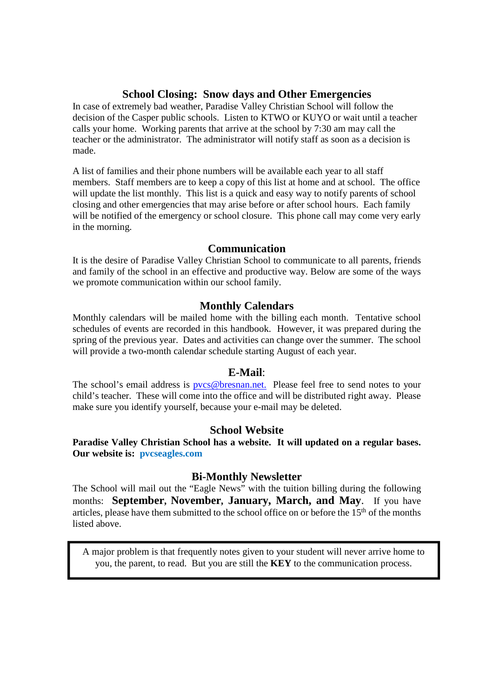## **School Closing: Snow days and Other Emergencies**

In case of extremely bad weather, Paradise Valley Christian School will follow the decision of the Casper public schools. Listen to KTWO or KUYO or wait until a teacher calls your home. Working parents that arrive at the school by 7:30 am may call the teacher or the administrator. The administrator will notify staff as soon as a decision is made.

A list of families and their phone numbers will be available each year to all staff members. Staff members are to keep a copy of this list at home and at school. The office will update the list monthly. This list is a quick and easy way to notify parents of school closing and other emergencies that may arise before or after school hours. Each family will be notified of the emergency or school closure. This phone call may come very early in the morning.

#### **Communication**

It is the desire of Paradise Valley Christian School to communicate to all parents, friends and family of the school in an effective and productive way. Below are some of the ways we promote communication within our school family.

## **Monthly Calendars**

Monthly calendars will be mailed home with the billing each month. Tentative school schedules of events are recorded in this handbook. However, it was prepared during the spring of the previous year. Dates and activities can change over the summer. The school will provide a two-month calendar schedule starting August of each year.

## **E-Mail**:

The school's email address is **pvcs@bresnan.net**. Please feel free to send notes to your child's teacher. These will come into the office and will be distributed right away. Please make sure you identify yourself, because your e-mail may be deleted.

#### **School Website**

**Paradise Valley Christian School has a website. It will updated on a regular bases. Our website is: pvcseagles.com**

#### **Bi-Monthly Newsletter**

The School will mail out the "Eagle News" with the tuition billing during the following months: **September, November, January, March, and May**. If you have articles, please have them submitted to the school office on or before the  $15<sup>th</sup>$  of the months listed above.

**Supplies**  A major problem is that frequently notes given to your student will never arrive home to you, the parent, to read. But you are still the **KEY** to the communication process.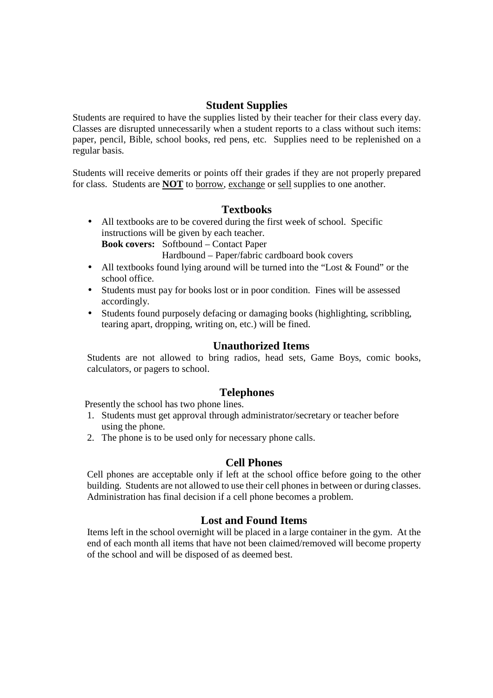## **Student Supplies**

Students are required to have the supplies listed by their teacher for their class every day. Classes are disrupted unnecessarily when a student reports to a class without such items: paper, pencil, Bible, school books, red pens, etc. Supplies need to be replenished on a regular basis.

Students will receive demerits or points off their grades if they are not properly prepared for class. Students are **NOT** to borrow, exchange or sell supplies to one another.

## **Textbooks**

• All textbooks are to be covered during the first week of school. Specific instructions will be given by each teacher. **Book covers:** Softbound – Contact Paper

Hardbound – Paper/fabric cardboard book covers

- All textbooks found lying around will be turned into the "Lost & Found" or the school office.
- Students must pay for books lost or in poor condition. Fines will be assessed accordingly.
- Students found purposely defacing or damaging books (highlighting, scribbling, tearing apart, dropping, writing on, etc.) will be fined.

#### **Unauthorized Items**

Students are not allowed to bring radios, head sets, Game Boys, comic books, calculators, or pagers to school.

## **Telephones**

Presently the school has two phone lines.

- 1. Students must get approval through administrator/secretary or teacher before using the phone.
- 2. The phone is to be used only for necessary phone calls.

#### **Cell Phones**

Cell phones are acceptable only if left at the school office before going to the other building. Students are not allowed to use their cell phones in between or during classes. Administration has final decision if a cell phone becomes a problem.

#### **Lost and Found Items**

Items left in the school overnight will be placed in a large container in the gym. At the end of each month all items that have not been claimed/removed will become property of the school and will be disposed of as deemed best.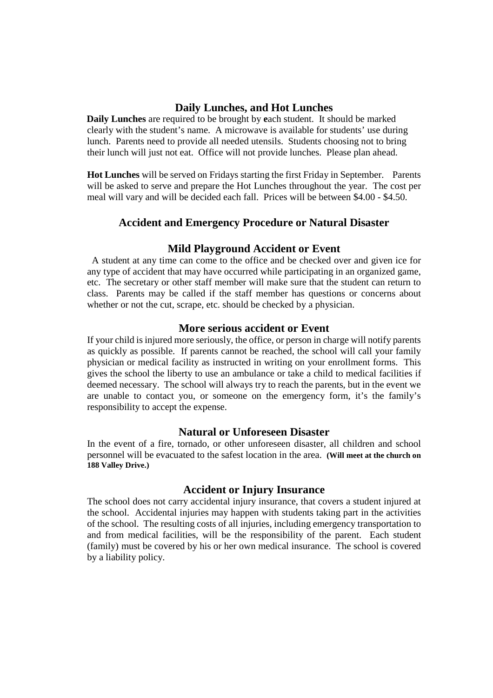## **Daily Lunches, and Hot Lunches**

 **Daily Lunches** are required to be brought by **e**ach student. It should be marked clearly with the student's name. A microwave is available for students' use during lunch. Parents need to provide all needed utensils. Students choosing not to bring their lunch will just not eat. Office will not provide lunches. Please plan ahead.

**Hot Lunches** will be served on Fridays starting the first Friday in September. Parents will be asked to serve and prepare the Hot Lunches throughout the year. The cost per meal will vary and will be decided each fall. Prices will be between \$4.00 - \$4.50.

## **Accident and Emergency Procedure or Natural Disaster**

#### **Mild Playground Accident or Event**

 A student at any time can come to the office and be checked over and given ice for any type of accident that may have occurred while participating in an organized game, etc. The secretary or other staff member will make sure that the student can return to class. Parents may be called if the staff member has questions or concerns about whether or not the cut, scrape, etc. should be checked by a physician.

#### **More serious accident or Event**

If your child is injured more seriously, the office, or person in charge will notify parents as quickly as possible. If parents cannot be reached, the school will call your family physician or medical facility as instructed in writing on your enrollment forms. This gives the school the liberty to use an ambulance or take a child to medical facilities if deemed necessary. The school will always try to reach the parents, but in the event we are unable to contact you, or someone on the emergency form, it's the family's responsibility to accept the expense.

#### **Natural or Unforeseen Disaster**

In the event of a fire, tornado, or other unforeseen disaster, all children and school personnel will be evacuated to the safest location in the area. **(Will meet at the church on 188 Valley Drive.)**

#### **Accident or Injury Insurance**

The school does not carry accidental injury insurance, that covers a student injured at the school. Accidental injuries may happen with students taking part in the activities of the school. The resulting costs of all injuries, including emergency transportation to and from medical facilities, will be the responsibility of the parent. Each student (family) must be covered by his or her own medical insurance. The school is covered by a liability policy.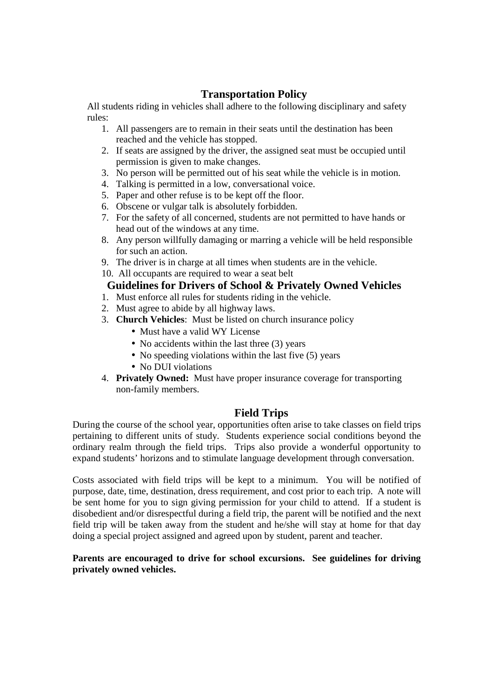# **Transportation Policy**

All students riding in vehicles shall adhere to the following disciplinary and safety rules:

- 1. All passengers are to remain in their seats until the destination has been reached and the vehicle has stopped.
- 2. If seats are assigned by the driver, the assigned seat must be occupied until permission is given to make changes.
- 3. No person will be permitted out of his seat while the vehicle is in motion.
- 4. Talking is permitted in a low, conversational voice.
- 5. Paper and other refuse is to be kept off the floor.
- 6. Obscene or vulgar talk is absolutely forbidden.
- 7. For the safety of all concerned, students are not permitted to have hands or head out of the windows at any time.
- 8. Any person willfully damaging or marring a vehicle will be held responsible for such an action.
- 9. The driver is in charge at all times when students are in the vehicle.
- 10. All occupants are required to wear a seat belt

# **Guidelines for Drivers of School & Privately Owned Vehicles**

- 1. Must enforce all rules for students riding in the vehicle.
- 2. Must agree to abide by all highway laws.
- 3. **Church Vehicles**: Must be listed on church insurance policy
	- Must have a valid WY License
	- No accidents within the last three (3) years
	- No speeding violations within the last five (5) years
	- No DUI violations
- 4. **Privately Owned:** Must have proper insurance coverage for transporting non-family members.

# **Field Trips**

During the course of the school year, opportunities often arise to take classes on field trips pertaining to different units of study. Students experience social conditions beyond the ordinary realm through the field trips. Trips also provide a wonderful opportunity to expand students' horizons and to stimulate language development through conversation.

Costs associated with field trips will be kept to a minimum. You will be notified of purpose, date, time, destination, dress requirement, and cost prior to each trip. A note will be sent home for you to sign giving permission for your child to attend. If a student is disobedient and/or disrespectful during a field trip, the parent will be notified and the next field trip will be taken away from the student and he/she will stay at home for that day doing a special project assigned and agreed upon by student, parent and teacher.

#### **Parents are encouraged to drive for school excursions. See guidelines for driving privately owned vehicles.**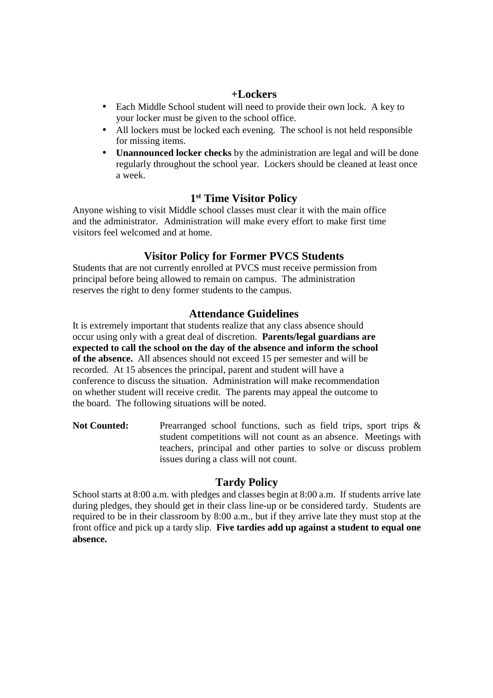#### **+Lockers**

- Each Middle School student will need to provide their own lock. A key to your locker must be given to the school office.
- All lockers must be locked each evening. The school is not held responsible for missing items.
- **Unannounced locker checks** by the administration are legal and will be done regularly throughout the school year. Lockers should be cleaned at least once a week.

## **1 st Time Visitor Policy**

Anyone wishing to visit Middle school classes must clear it with the main office and the administrator. Administration will make every effort to make first time visitors feel welcomed and at home.

# **Visitor Policy for Former PVCS Students**

Students that are not currently enrolled at PVCS must receive permission from principal before being allowed to remain on campus. The administration reserves the right to deny former students to the campus.

## **Attendance Guidelines**

It is extremely important that students realize that any class absence should occur using only with a great deal of discretion. **Parents/legal guardians are expected to call the school on the day of the absence and inform the school of the absence.** All absences should not exceed 15 per semester and will be recorded. At 15 absences the principal, parent and student will have a conference to discuss the situation. Administration will make recommendation on whether student will receive credit. The parents may appeal the outcome to the board. The following situations will be noted.

**Not Counted:** Prearranged school functions, such as field trips, sport trips & student competitions will not count as an absence. Meetings with teachers, principal and other parties to solve or discuss problem issues during a class will not count.

## **Tardy Policy**

School starts at 8:00 a.m. with pledges and classes begin at 8:00 a.m. If students arrive late during pledges, they should get in their class line-up or be considered tardy. Students are required to be in their classroom by 8:00 a.m., but if they arrive late they must stop at the front office and pick up a tardy slip. **Five tardies add up against a student to equal one absence.**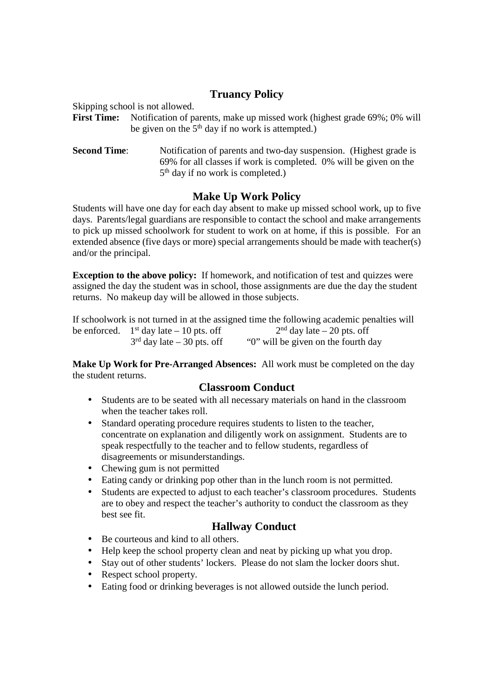# **Truancy Policy**

Skipping school is not allowed.

- **First Time:** Notification of parents, make up missed work (highest grade 69%; 0% will be given on the  $5<sup>th</sup>$  day if no work is attempted.)
- **Second Time:** Notification of parents and two-day suspension. (Highest grade is 69% for all classes if work is completed. 0% will be given on the 5<sup>th</sup> day if no work is completed.)

# **Make Up Work Policy**

Students will have one day for each day absent to make up missed school work, up to five days. Parents/legal guardians are responsible to contact the school and make arrangements to pick up missed schoolwork for student to work on at home, if this is possible. For an extended absence (five days or more) special arrangements should be made with teacher(s) and/or the principal.

**Exception to the above policy:** If homework, and notification of test and quizzes were assigned the day the student was in school, those assignments are due the day the student returns. No makeup day will be allowed in those subjects.

If schoolwork is not turned in at the assigned time the following academic penalties will be enforced.  $1^{st}$  day late – 10 pts. off  $2^{nd}$  day late – 20 pts. off  $3^{rd}$  day late – 30 pts. off  $\ddot{0}$  will be given on the fourth d  $\degree$ <sup>3</sup> $\degree$  will be given on the fourth day

**Make Up Work for Pre-Arranged Absences:** All work must be completed on the day the student returns.

# **Classroom Conduct**

- Students are to be seated with all necessary materials on hand in the classroom when the teacher takes roll.
- Standard operating procedure requires students to listen to the teacher, concentrate on explanation and diligently work on assignment. Students are to speak respectfully to the teacher and to fellow students, regardless of disagreements or misunderstandings.
- Chewing gum is not permitted
- Eating candy or drinking pop other than in the lunch room is not permitted.
- Students are expected to adjust to each teacher's classroom procedures. Students are to obey and respect the teacher's authority to conduct the classroom as they best see fit.

# **Hallway Conduct**

- Be courteous and kind to all others.
- Help keep the school property clean and neat by picking up what you drop.
- Stay out of other students' lockers. Please do not slam the locker doors shut.
- Respect school property.
- Eating food or drinking beverages is not allowed outside the lunch period.